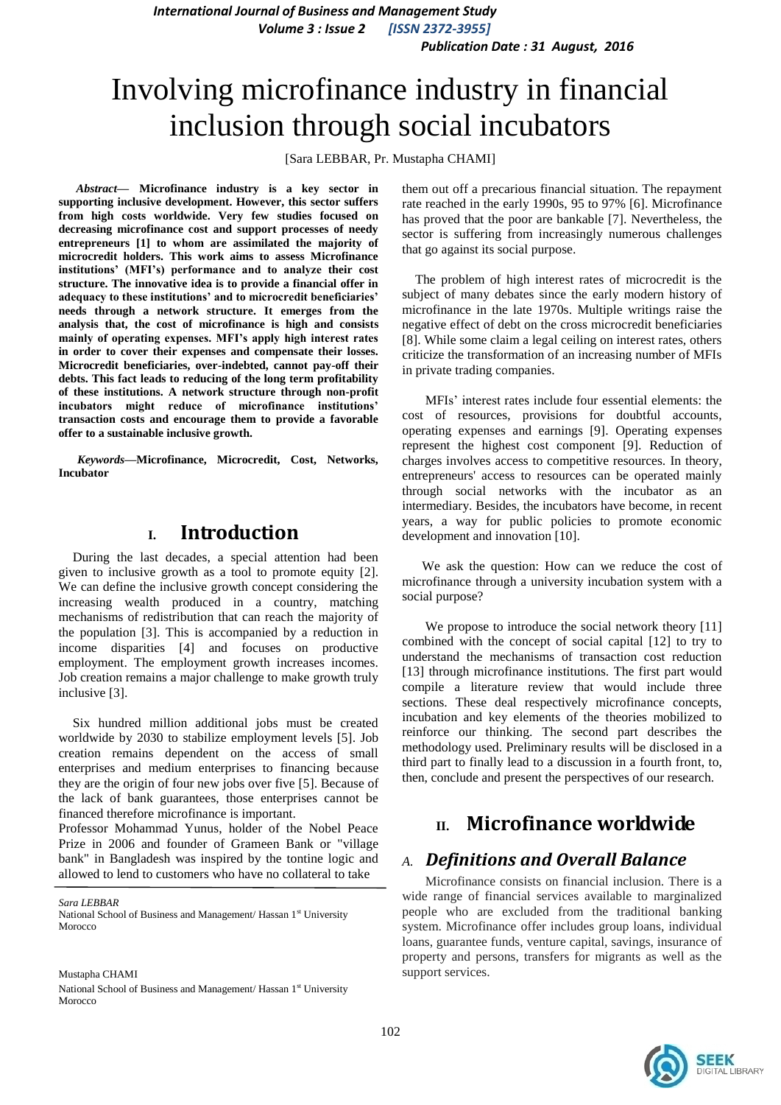*International Journal of Business and Management Study Volume 3 : Issue 2 [ISSN 2372-3955] Publication Date : 31 August, 2016*

# Involving microfinance industry in financial inclusion through social incubators

[Sara LEBBAR, Pr. Mustapha CHAMI]

*Abstract***— Microfinance industry is a key sector in supporting inclusive development. However, this sector suffers from high costs worldwide. Very few studies focused on decreasing microfinance cost and support processes of needy entrepreneurs [1] to whom are assimilated the majority of microcredit holders. This work aims to assess Microfinance institutions' (MFI's) performance and to analyze their cost structure. The innovative idea is to provide a financial offer in adequacy to these institutions' and to microcredit beneficiaries' needs through a network structure. It emerges from the analysis that, the cost of microfinance is high and consists mainly of operating expenses. MFI's apply high interest rates in order to cover their expenses and compensate their losses. Microcredit beneficiaries, over-indebted, cannot pay-off their debts. This fact leads to reducing of the long term profitability of these institutions. A network structure through non-profit incubators might reduce of microfinance institutions' transaction costs and encourage them to provide a favorable offer to a sustainable inclusive growth.**

*Keywords—***Microfinance, Microcredit, Cost, Networks, Incubator**

#### **I. Introduction**

During the last decades, a special attention had been given to inclusive growth as a tool to promote equity [2]. We can define the inclusive growth concept considering the increasing wealth produced in a country, matching mechanisms of redistribution that can reach the majority of the population [3]. This is accompanied by a reduction in income disparities [4] and focuses on productive employment. The employment growth increases incomes. Job creation remains a major challenge to make growth truly inclusive [3].

Six hundred million additional jobs must be created worldwide by 2030 to stabilize employment levels [5]. Job creation remains dependent on the access of small enterprises and medium enterprises to financing because they are the origin of four new jobs over five [5]. Because of the lack of bank guarantees, those enterprises cannot be financed therefore microfinance is important.

Professor Mohammad Yunus, holder of the Nobel Peace Prize in 2006 and founder of Grameen Bank or "village bank" in Bangladesh was inspired by the tontine logic and allowed to lend to customers who have no collateral to take

*Sara LEBBAR*

National School of Business and Management/ Hassan 1<sup>st</sup> University Morocco

Mustapha CHAMI National School of Business and Management/ Hassan 1st University Morocco

them out off a precarious financial situation. The repayment rate reached in the early 1990s, 95 to 97% [6]. Microfinance has proved that the poor are bankable [7]. Nevertheless, the sector is suffering from increasingly numerous challenges that go against its social purpose.

 The problem of high interest rates of microcredit is the subject of many debates since the early modern history of microfinance in the late 1970s. Multiple writings raise the negative effect of debt on the cross microcredit beneficiaries [8]. While some claim a legal ceiling on interest rates, others criticize the transformation of an increasing number of MFIs in private trading companies.

 MFIs' interest rates include four essential elements: the cost of resources, provisions for doubtful accounts, operating expenses and earnings [9]. Operating expenses represent the highest cost component [9]. Reduction of charges involves access to competitive resources. In theory, entrepreneurs' access to resources can be operated mainly through social networks with the incubator as an intermediary. Besides, the incubators have become, in recent years, a way for public policies to promote economic development and innovation [10].

 We ask the question: How can we reduce the cost of microfinance through a university incubation system with a social purpose?

We propose to introduce the social network theory [11] combined with the concept of social capital [12] to try to understand the mechanisms of transaction cost reduction [13] through microfinance institutions. The first part would compile a literature review that would include three sections. These deal respectively microfinance concepts, incubation and key elements of the theories mobilized to reinforce our thinking. The second part describes the methodology used. Preliminary results will be disclosed in a third part to finally lead to a discussion in a fourth front, to, then, conclude and present the perspectives of our research.

# **II. Microfinance worldwide**

#### *A. Definitions and Overall Balance*

 Microfinance consists on financial inclusion. There is a wide range of financial services available to marginalized people who are excluded from the traditional banking system. Microfinance offer includes group loans, individual loans, guarantee funds, venture capital, savings, insurance of property and persons, transfers for migrants as well as the support services.

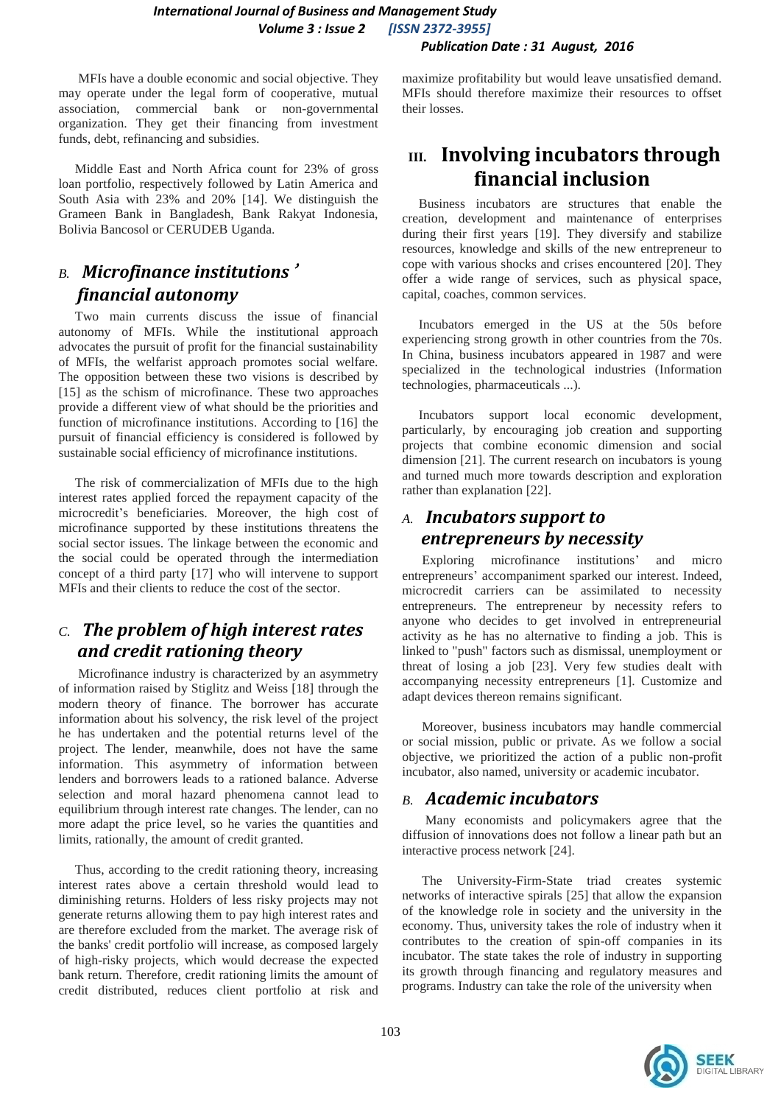#### *International Journal of Business and Management Study Volume 3 : Issue 2 [ISSN 2372-3955] Publication Date : 31 August, 2016*

 MFIs have a double economic and social objective. They may operate under the legal form of cooperative, mutual association, commercial bank or non-governmental organization. They get their financing from investment funds, debt, refinancing and subsidies.

 Middle East and North Africa count for 23% of gross loan portfolio, respectively followed by Latin America and South Asia with 23% and 20% [14]. We distinguish the Grameen Bank in Bangladesh, Bank Rakyat Indonesia, Bolivia Bancosol or CERUDEB Uganda.

## *B. Microfinance institutions*' *financial autonomy*

 Two main currents discuss the issue of financial autonomy of MFIs. While the institutional approach advocates the pursuit of profit for the financial sustainability of MFIs, the welfarist approach promotes social welfare. The opposition between these two visions is described by [15] as the schism of microfinance. These two approaches provide a different view of what should be the priorities and function of microfinance institutions. According to [16] the pursuit of financial efficiency is considered is followed by sustainable social efficiency of microfinance institutions.

 The risk of commercialization of MFIs due to the high interest rates applied forced the repayment capacity of the microcredit's beneficiaries. Moreover, the high cost of microfinance supported by these institutions threatens the social sector issues. The linkage between the economic and the social could be operated through the intermediation concept of a third party [17] who will intervene to support MFIs and their clients to reduce the cost of the sector.

# *C. The problem of high interest rates and credit rationing theory*

 Microfinance industry is characterized by an asymmetry of information raised by Stiglitz and Weiss [18] through the modern theory of finance. The borrower has accurate information about his solvency, the risk level of the project he has undertaken and the potential returns level of the project. The lender, meanwhile, does not have the same information. This asymmetry of information between lenders and borrowers leads to a rationed balance. Adverse selection and moral hazard phenomena cannot lead to equilibrium through interest rate changes. The lender, can no more adapt the price level, so he varies the quantities and limits, rationally, the amount of credit granted.

 Thus, according to the credit rationing theory, increasing interest rates above a certain threshold would lead to diminishing returns. Holders of less risky projects may not generate returns allowing them to pay high interest rates and are therefore excluded from the market. The average risk of the banks' credit portfolio will increase, as composed largely of high-risky projects, which would decrease the expected bank return. Therefore, credit rationing limits the amount of credit distributed, reduces client portfolio at risk and maximize profitability but would leave unsatisfied demand. MFIs should therefore maximize their resources to offset their losses.

# **III. Involving incubators through financial inclusion**

 Business incubators are structures that enable the creation, development and maintenance of enterprises during their first years [19]. They diversify and stabilize resources, knowledge and skills of the new entrepreneur to cope with various shocks and crises encountered [20]. They offer a wide range of services, such as physical space, capital, coaches, common services.

 Incubators emerged in the US at the 50s before experiencing strong growth in other countries from the 70s. In China, business incubators appeared in 1987 and were specialized in the technological industries (Information technologies, pharmaceuticals ...).

 Incubators support local economic development, particularly, by encouraging job creation and supporting projects that combine economic dimension and social dimension [21]. The current research on incubators is young and turned much more towards description and exploration rather than explanation [22].

## *A. Incubators support to entrepreneurs by necessity*

 Exploring microfinance institutions' and micro entrepreneurs' accompaniment sparked our interest. Indeed, microcredit carriers can be assimilated to necessity entrepreneurs. The entrepreneur by necessity refers to anyone who decides to get involved in entrepreneurial activity as he has no alternative to finding a job. This is linked to "push" factors such as dismissal, unemployment or threat of losing a job [23]. Very few studies dealt with accompanying necessity entrepreneurs [1]. Customize and adapt devices thereon remains significant.

 Moreover, business incubators may handle commercial or social mission, public or private. As we follow a social objective, we prioritized the action of a public non-profit incubator, also named, university or academic incubator.

#### *B. Academic incubators*

 Many economists and policymakers agree that the diffusion of innovations does not follow a linear path but an interactive process network [24].

 The University-Firm-State triad creates systemic networks of interactive spirals [25] that allow the expansion of the knowledge role in society and the university in the economy. Thus, university takes the role of industry when it contributes to the creation of spin-off companies in its incubator. The state takes the role of industry in supporting its growth through financing and regulatory measures and programs. Industry can take the role of the university when

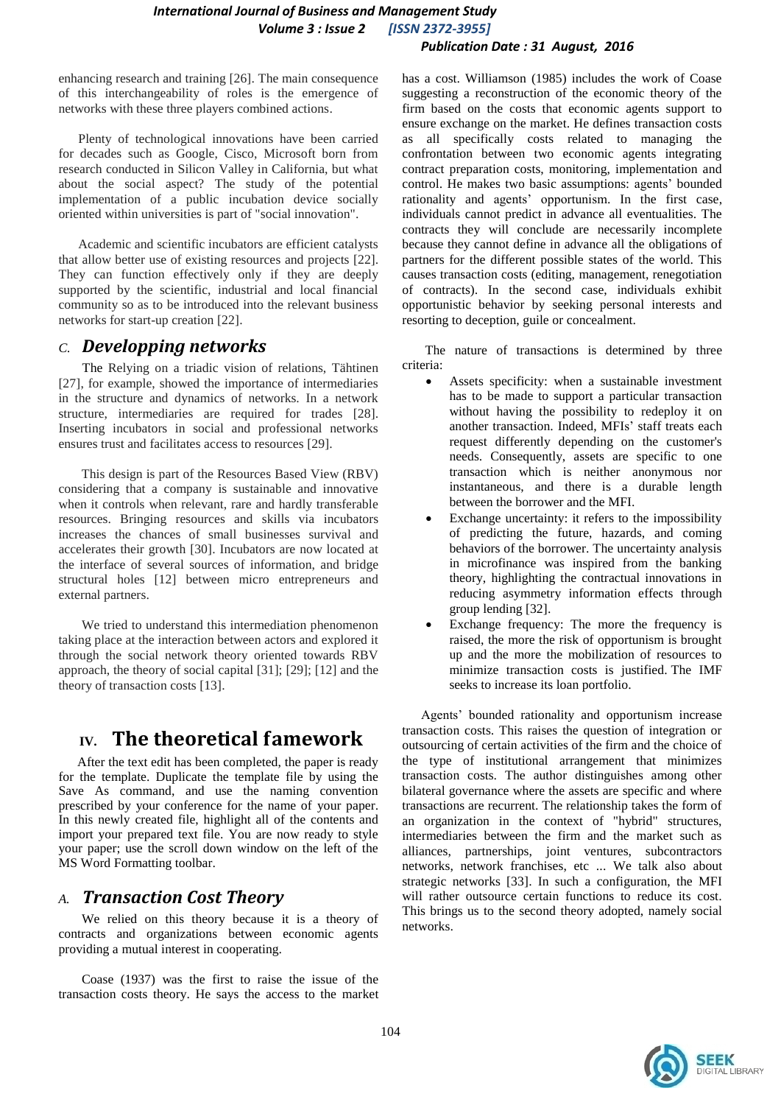enhancing research and training [26]. The main consequence of this interchangeability of roles is the emergence of networks with these three players combined actions.

 Plenty of technological innovations have been carried for decades such as Google, Cisco, Microsoft born from research conducted in Silicon Valley in California, but what about the social aspect? The study of the potential implementation of a public incubation device socially oriented within universities is part of "social innovation".

 Academic and scientific incubators are efficient catalysts that allow better use of existing resources and projects [22]. They can function effectively only if they are deeply supported by the scientific, industrial and local financial community so as to be introduced into the relevant business networks for start-up creation [22].

#### *C. Developping networks*

 The Relying on a triadic vision of relations, Tähtinen [27], for example, showed the importance of intermediaries in the structure and dynamics of networks. In a network structure, intermediaries are required for trades [28]. Inserting incubators in social and professional networks ensures trust and facilitates access to resources [29].

 This design is part of the Resources Based View (RBV) considering that a company is sustainable and innovative when it controls when relevant, rare and hardly transferable resources. Bringing resources and skills via incubators increases the chances of small businesses survival and accelerates their growth [30]. Incubators are now located at the interface of several sources of information, and bridge structural holes [12] between micro entrepreneurs and external partners.

 We tried to understand this intermediation phenomenon taking place at the interaction between actors and explored it through the social network theory oriented towards RBV approach, the theory of social capital [31]; [29]; [12] and the theory of transaction costs [13].

# **IV. The theoretical famework**

After the text edit has been completed, the paper is ready for the template. Duplicate the template file by using the Save As command, and use the naming convention prescribed by your conference for the name of your paper. In this newly created file, highlight all of the contents and import your prepared text file. You are now ready to style your paper; use the scroll down window on the left of the MS Word Formatting toolbar.

#### *A. Transaction Cost Theory*

 We relied on this theory because it is a theory of contracts and organizations between economic agents providing a mutual interest in cooperating.

 Coase (1937) was the first to raise the issue of the transaction costs theory. He says the access to the market has a cost. Williamson (1985) includes the work of Coase suggesting a reconstruction of the economic theory of the firm based on the costs that economic agents support to ensure exchange on the market. He defines transaction costs as all specifically costs related to managing the confrontation between two economic agents integrating contract preparation costs, monitoring, implementation and control. He makes two basic assumptions: agents' bounded rationality and agents' opportunism. In the first case, individuals cannot predict in advance all eventualities. The contracts they will conclude are necessarily incomplete because they cannot define in advance all the obligations of partners for the different possible states of the world. This causes transaction costs (editing, management, renegotiation of contracts). In the second case, individuals exhibit opportunistic behavior by seeking personal interests and resorting to deception, guile or concealment.

 The nature of transactions is determined by three criteria:

- Assets specificity: when a sustainable investment has to be made to support a particular transaction without having the possibility to redeploy it on another transaction. Indeed, MFIs' staff treats each request differently depending on the customer's needs. Consequently, assets are specific to one transaction which is neither anonymous nor instantaneous, and there is a durable length between the borrower and the MFI.
- Exchange uncertainty: it refers to the impossibility of predicting the future, hazards, and coming behaviors of the borrower. The uncertainty analysis in microfinance was inspired from the banking theory, highlighting the contractual innovations in reducing asymmetry information effects through group lending [32].
- Exchange frequency: The more the frequency is raised, the more the risk of opportunism is brought up and the more the mobilization of resources to minimize transaction costs is justified. The IMF seeks to increase its loan portfolio.

Agents' bounded rationality and opportunism increase transaction costs. This raises the question of integration or outsourcing of certain activities of the firm and the choice of the type of institutional arrangement that minimizes transaction costs. The author distinguishes among other bilateral governance where the assets are specific and where transactions are recurrent. The relationship takes the form of an organization in the context of "hybrid" structures, intermediaries between the firm and the market such as alliances, partnerships, joint ventures, subcontractors networks, network franchises, etc ... We talk also about strategic networks [33]. In such a configuration, the MFI will rather outsource certain functions to reduce its cost. This brings us to the second theory adopted, namely social networks.

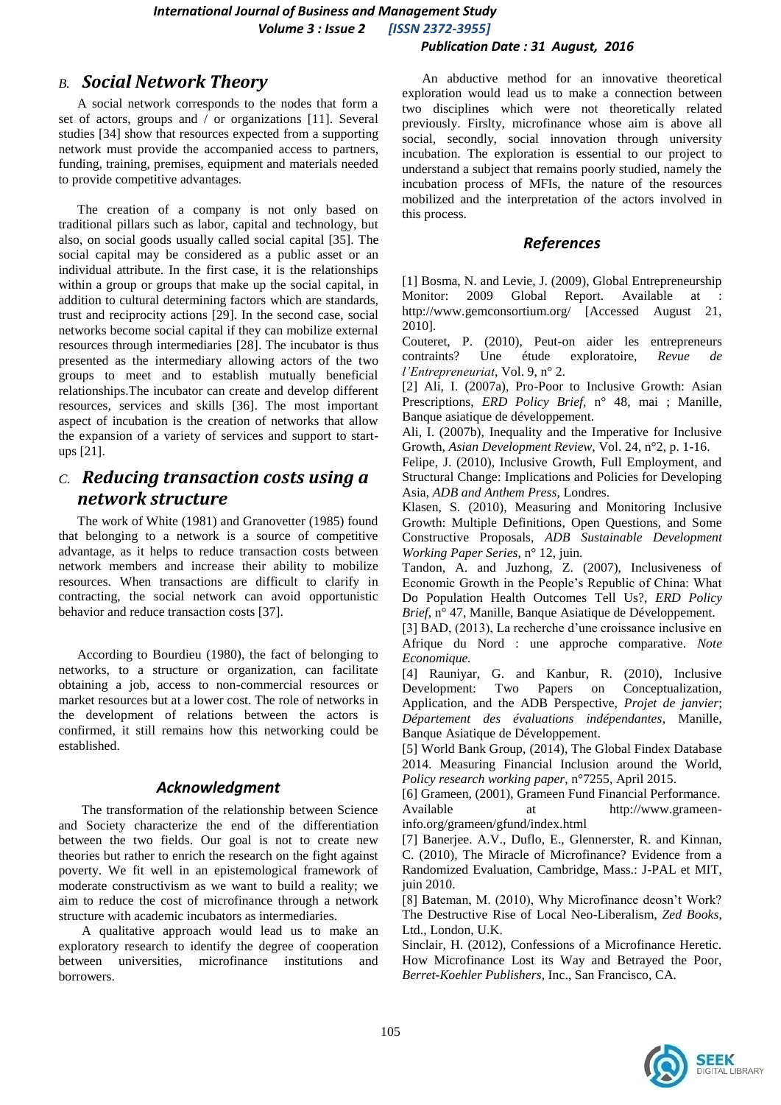#### *International Journal of Business and Management Study Volume 3 : Issue 2 [ISSN 2372-3955] Publication Date : 31 August, 2016*

#### *B. Social Network Theory*

A social network corresponds to the nodes that form a set of actors, groups and / or organizations [11]. Several studies [34] show that resources expected from a supporting network must provide the accompanied access to partners, funding, training, premises, equipment and materials needed to provide competitive advantages.

The creation of a company is not only based on traditional pillars such as labor, capital and technology, but also, on social goods usually called social capital [35]. The social capital may be considered as a public asset or an individual attribute. In the first case, it is the relationships within a group or groups that make up the social capital, in addition to cultural determining factors which are standards, trust and reciprocity actions [29]. In the second case, social networks become social capital if they can mobilize external resources through intermediaries [28]. The incubator is thus presented as the intermediary allowing actors of the two groups to meet and to establish mutually beneficial relationships.The incubator can create and develop different resources, services and skills [36]. The most important aspect of incubation is the creation of networks that allow the expansion of a variety of services and support to startups [21].

### *C. Reducing transaction costs using a network structure*

The work of White (1981) and Granovetter (1985) found that belonging to a network is a source of competitive advantage, as it helps to reduce transaction costs between network members and increase their ability to mobilize resources. When transactions are difficult to clarify in contracting, the social network can avoid opportunistic behavior and reduce transaction costs [37].

According to Bourdieu (1980), the fact of belonging to networks, to a structure or organization, can facilitate obtaining a job, access to non-commercial resources or market resources but at a lower cost. The role of networks in the development of relations between the actors is confirmed, it still remains how this networking could be established.

#### *Acknowledgment*

 The transformation of the relationship between Science and Society characterize the end of the differentiation between the two fields. Our goal is not to create new theories but rather to enrich the research on the fight against poverty. We fit well in an epistemological framework of moderate constructivism as we want to build a reality; we aim to reduce the cost of microfinance through a network structure with academic incubators as intermediaries.

 A qualitative approach would lead us to make an exploratory research to identify the degree of cooperation between universities, microfinance institutions and borrowers.

 An abductive method for an innovative theoretical exploration would lead us to make a connection between two disciplines which were not theoretically related previously. Firslty, microfinance whose aim is above all social, secondly, social innovation through university incubation. The exploration is essential to our project to understand a subject that remains poorly studied, namely the incubation process of MFIs, the nature of the resources mobilized and the interpretation of the actors involved in this process.

#### *References*

[1] Bosma, N. and Levie, J. (2009), Global Entrepreneurship Monitor: 2009 Global Report. Available at http://www.gemconsortium.org/ [Accessed August 21, 2010].

Couteret, P. (2010), Peut-on aider les entrepreneurs contraints? Une étude exploratoire, *Revue de l'Entrepreneuriat*, Vol. 9, n° 2.

[2] Ali, I. (2007a), Pro-Poor to Inclusive Growth: Asian Prescriptions, *ERD Policy Brief,* n° 48, mai ; Manille, Banque asiatique de développement.

Ali, I. (2007b), Inequality and the Imperative for Inclusive Growth, *Asian Development Review*, Vol. 24, n°2, p. 1-16.

Felipe, J. (2010), Inclusive Growth, Full Employment, and Structural Change: Implications and Policies for Developing Asia, *ADB and Anthem Press*, Londres.

Klasen, S. (2010), Measuring and Monitoring Inclusive Growth: Multiple Definitions, Open Questions, and Some Constructive Proposals, *ADB Sustainable Development Working Paper Series*, n° 12, juin.

Tandon, A. and Juzhong, Z. (2007), Inclusiveness of Economic Growth in the People's Republic of China: What Do Population Health Outcomes Tell Us?, *ERD Policy Brief*, n° 47, Manille, Banque Asiatique de Développement.

[3] BAD, (2013), La recherche d'une croissance inclusive en Afrique du Nord : une approche comparative*. Note Economique.*

[4] Rauniyar, G. and Kanbur, R. (2010), Inclusive Development: Two Papers on Conceptualization, Application, and the ADB Perspective, *Projet de janvier*; *Département des évaluations indépendantes*, Manille, Banque Asiatique de Développement.

[5] World Bank Group, (2014), The Global Findex Database 2014. Measuring Financial Inclusion around the World, *Policy research working paper*, n°7255, April 2015.

[6] Grameen, (2001), Grameen Fund Financial Performance. Available at http://www.grameeninfo.org/grameen/gfund/index.html

[7] Banerjee. A.V., Duflo, E., Glennerster, R. and Kinnan, C. (2010), The Miracle of Microfinance? Evidence from a Randomized Evaluation, Cambridge, Mass.: J-PAL et MIT, juin 2010.

[8] Bateman, M. (2010), Why Microfinance deosn't Work? The Destructive Rise of Local Neo-Liberalism, *Zed Books*, Ltd., London, U.K.

Sinclair, H. (2012), Confessions of a Microfinance Heretic. How Microfinance Lost its Way and Betrayed the Poor, *Berret-Koehler Publishers*, Inc., San Francisco, CA.